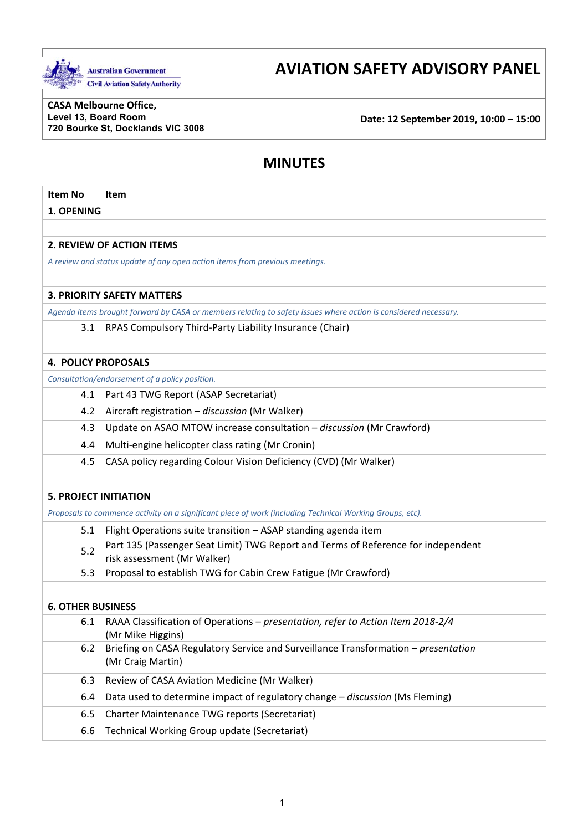

# **AVIATION SAFETY ADVISORY PANEL**

**CASA Melbourne Office, Level 13, Board Room** 

**720 Bourke St, Docklands VIC 3008 Date: 12 September 2019, 10:00 – 15:00** 

# **MINUTES**

| <b>Item No</b>               | Item                                                                                                             |  |
|------------------------------|------------------------------------------------------------------------------------------------------------------|--|
| 1. OPENING                   |                                                                                                                  |  |
|                              |                                                                                                                  |  |
|                              | <b>2. REVIEW OF ACTION ITEMS</b>                                                                                 |  |
|                              | A review and status update of any open action items from previous meetings.                                      |  |
|                              |                                                                                                                  |  |
|                              | <b>3. PRIORITY SAFETY MATTERS</b>                                                                                |  |
|                              | Agenda items brought forward by CASA or members relating to safety issues where action is considered necessary.  |  |
| 3.1                          | RPAS Compulsory Third-Party Liability Insurance (Chair)                                                          |  |
|                              |                                                                                                                  |  |
| <b>4. POLICY PROPOSALS</b>   |                                                                                                                  |  |
|                              | Consultation/endorsement of a policy position.                                                                   |  |
| 4.1                          | Part 43 TWG Report (ASAP Secretariat)                                                                            |  |
| 4.2                          | Aircraft registration - discussion (Mr Walker)                                                                   |  |
| 4.3                          | Update on ASAO MTOW increase consultation - discussion (Mr Crawford)                                             |  |
| 4.4                          | Multi-engine helicopter class rating (Mr Cronin)                                                                 |  |
| 4.5                          | CASA policy regarding Colour Vision Deficiency (CVD) (Mr Walker)                                                 |  |
|                              |                                                                                                                  |  |
| <b>5. PROJECT INITIATION</b> |                                                                                                                  |  |
|                              | Proposals to commence activity on a significant piece of work (including Technical Working Groups, etc).         |  |
| 5.1                          | Flight Operations suite transition - ASAP standing agenda item                                                   |  |
| 5.2                          | Part 135 (Passenger Seat Limit) TWG Report and Terms of Reference for independent<br>risk assessment (Mr Walker) |  |
| 5.3                          | Proposal to establish TWG for Cabin Crew Fatigue (Mr Crawford)                                                   |  |
|                              |                                                                                                                  |  |
| <b>6. OTHER BUSINESS</b>     |                                                                                                                  |  |
| 6.1                          | RAAA Classification of Operations - presentation, refer to Action Item 2018-2/4<br>(Mr Mike Higgins)             |  |
| 6.2                          | Briefing on CASA Regulatory Service and Surveillance Transformation - presentation<br>(Mr Craig Martin)          |  |
| 6.3                          | Review of CASA Aviation Medicine (Mr Walker)                                                                     |  |
| 6.4                          | Data used to determine impact of regulatory change - discussion (Ms Fleming)                                     |  |
| 6.5                          | Charter Maintenance TWG reports (Secretariat)                                                                    |  |
| 6.6                          | Technical Working Group update (Secretariat)                                                                     |  |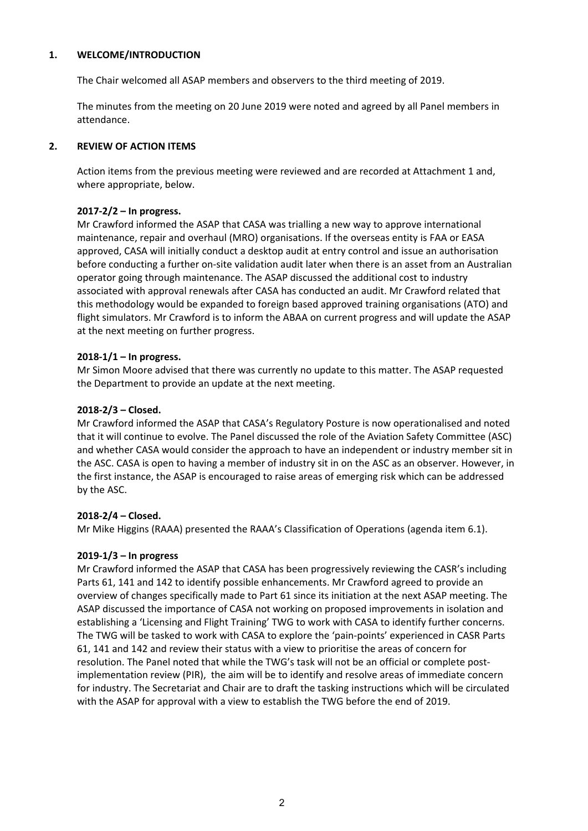#### **1. WELCOME/INTRODUCTION**

The Chair welcomed all ASAP members and observers to the third meeting of 2019.

The minutes from the meeting on 20 June 2019 were noted and agreed by all Panel members in attendance.

#### **2. REVIEW OF ACTION ITEMS**

Action items from the previous meeting were reviewed and are recorded at Attachment 1 and, where appropriate, below.

## **2017‐2/2 – In progress.**

Mr Crawford informed the ASAP that CASA was trialling a new way to approve international maintenance, repair and overhaul (MRO) organisations. If the overseas entity is FAA or EASA approved, CASA will initially conduct a desktop audit at entry control and issue an authorisation before conducting a further on-site validation audit later when there is an asset from an Australian operator going through maintenance. The ASAP discussed the additional cost to industry associated with approval renewals after CASA has conducted an audit. Mr Crawford related that this methodology would be expanded to foreign based approved training organisations (ATO) and flight simulators. Mr Crawford is to inform the ABAA on current progress and will update the ASAP at the next meeting on further progress.

## **2018‐1/1 – In progress.**

Mr Simon Moore advised that there was currently no update to this matter. The ASAP requested the Department to provide an update at the next meeting.

#### **2018‐2/3 – Closed.**

Mr Crawford informed the ASAP that CASA's Regulatory Posture is now operationalised and noted that it will continue to evolve. The Panel discussed the role of the Aviation Safety Committee (ASC) and whether CASA would consider the approach to have an independent or industry member sit in the ASC. CASA is open to having a member of industry sit in on the ASC as an observer. However, in the first instance, the ASAP is encouraged to raise areas of emerging risk which can be addressed by the ASC.

# **2018‐2/4 – Closed.**

Mr Mike Higgins (RAAA) presented the RAAA's Classification of Operations (agenda item 6.1).

#### **2019‐1/3 – In progress**

 Mr Crawford informed the ASAP that CASA has been progressively reviewing the CASR's including establishing a 'Licensing and Flight Training' TWG to work with CASA to identify further concerns. The TWG will be tasked to work with CASA to explore the 'pain‐points' experienced in CASR Parts Parts 61, 141 and 142 to identify possible enhancements. Mr Crawford agreed to provide an overview of changes specifically made to Part 61 since its initiation at the next ASAP meeting. The ASAP discussed the importance of CASA not working on proposed improvements in isolation and 61, 141 and 142 and review their status with a view to prioritise the areas of concern for resolution. The Panel noted that while the TWG's task will not be an official or complete postimplementation review (PIR), the aim will be to identify and resolve areas of immediate concern for industry. The Secretariat and Chair are to draft the tasking instructions which will be circulated with the ASAP for approval with a view to establish the TWG before the end of 2019.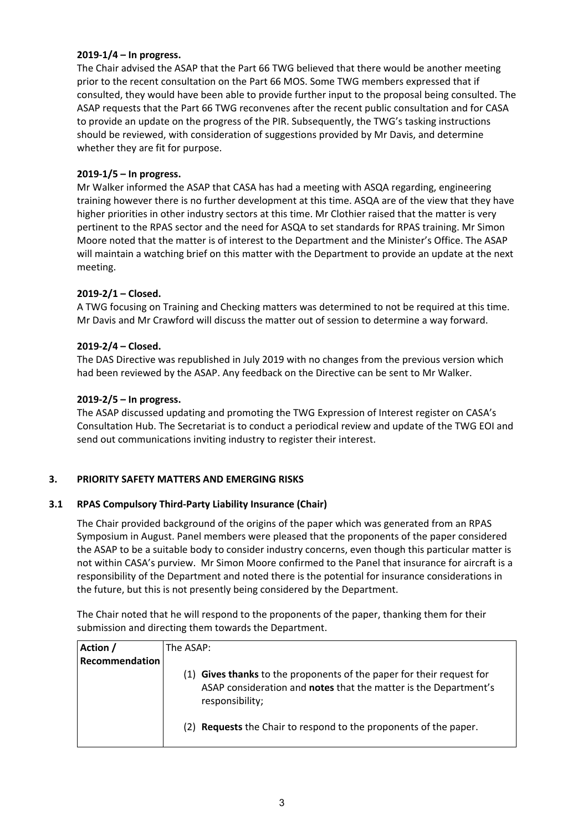#### **2019‐1/4 – In progress.**

 to provide an update on the progress of the PIR. Subsequently, the TWG's tasking instructions The Chair advised the ASAP that the Part 66 TWG believed that there would be another meeting prior to the recent consultation on the Part 66 MOS. Some TWG members expressed that if consulted, they would have been able to provide further input to the proposal being consulted. The ASAP requests that the Part 66 TWG reconvenes after the recent public consultation and for CASA should be reviewed, with consideration of suggestions provided by Mr Davis, and determine whether they are fit for purpose.

# **2019‐1/5 – In progress.**

Mr Walker informed the ASAP that CASA has had a meeting with ASQA regarding, engineering training however there is no further development at this time. ASQA are of the view that they have higher priorities in other industry sectors at this time. Mr Clothier raised that the matter is very pertinent to the RPAS sector and the need for ASQA to set standards for RPAS training. Mr Simon Moore noted that the matter is of interest to the Department and the Minister's Office. The ASAP will maintain a watching brief on this matter with the Department to provide an update at the next meeting.

## **2019‐2/1 – Closed.**

 A TWG focusing on Training and Checking matters was determined to not be required at this time. Mr Davis and Mr Crawford will discuss the matter out of session to determine a way forward.

## **2019‐2/4 – Closed.**

The DAS Directive was republished in July 2019 with no changes from the previous version which had been reviewed by the ASAP. Any feedback on the Directive can be sent to Mr Walker.

## **2019‐2/5 – In progress.**

The ASAP discussed updating and promoting the TWG Expression of Interest register on CASA's Consultation Hub. The Secretariat is to conduct a periodical review and update of the TWG EOI and send out communications inviting industry to register their interest.

# **3. PRIORITY SAFETY MATTERS AND EMERGING RISKS**

#### **3.1 RPAS Compulsory Third‐Party Liability Insurance (Chair)**

 the future, but this is not presently being considered by the Department. The Chair provided background of the origins of the paper which was generated from an RPAS Symposium in August. Panel members were pleased that the proponents of the paper considered the ASAP to be a suitable body to consider industry concerns, even though this particular matter is not within CASA's purview. Mr Simon Moore confirmed to the Panel that insurance for aircraft is a responsibility of the Department and noted there is the potential for insurance considerations in

The Chair noted that he will respond to the proponents of the paper, thanking them for their submission and directing them towards the Department.

| Action /       | The ASAP:                                                                                                                                                    |
|----------------|--------------------------------------------------------------------------------------------------------------------------------------------------------------|
| Recommendation |                                                                                                                                                              |
|                | (1) Gives thanks to the proponents of the paper for their request for<br>ASAP consideration and notes that the matter is the Department's<br>responsibility; |
|                | (2) <b>Requests</b> the Chair to respond to the proponents of the paper.                                                                                     |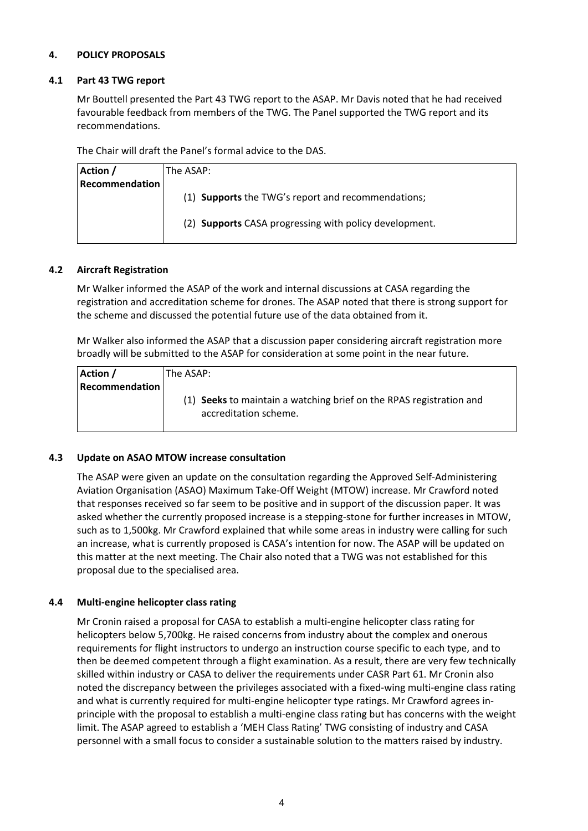## **4. POLICY PROPOSALS**

#### **4.1 Part 43 TWG report**

 Mr Bouttell presented the Part 43 TWG report to the ASAP. Mr Davis noted that he had received favourable feedback from members of the TWG. The Panel supported the TWG report and its recommendations.

The Chair will draft the Panel's formal advice to the DAS.

| Action /              | The ASAP:                                              |
|-----------------------|--------------------------------------------------------|
| <b>Recommendation</b> |                                                        |
|                       | (1) Supports the TWG's report and recommendations;     |
|                       |                                                        |
|                       | (2) Supports CASA progressing with policy development. |
|                       |                                                        |

#### **4.2 Aircraft Registration**

Mr Walker informed the ASAP of the work and internal discussions at CASA regarding the registration and accreditation scheme for drones. The ASAP noted that there is strong support for the scheme and discussed the potential future use of the data obtained from it.

 broadly will be submitted to the ASAP for consideration at some point in the near future. Mr Walker also informed the ASAP that a discussion paper considering aircraft registration more

| Action /       | The ASAP:                                                                                    |
|----------------|----------------------------------------------------------------------------------------------|
| Recommendation |                                                                                              |
|                | (1) Seeks to maintain a watching brief on the RPAS registration and<br>accreditation scheme. |
|                |                                                                                              |

#### **4.3 Update on ASAO MTOW increase consultation**

 this matter at the next meeting. The Chair also noted that a TWG was not established for this The ASAP were given an update on the consultation regarding the Approved Self‐Administering Aviation Organisation (ASAO) Maximum Take‐Off Weight (MTOW) increase. Mr Crawford noted that responses received so far seem to be positive and in support of the discussion paper. It was asked whether the currently proposed increase is a stepping-stone for further increases in MTOW, such as to 1,500kg. Mr Crawford explained that while some areas in industry were calling for such an increase, what is currently proposed is CASA's intention for now. The ASAP will be updated on proposal due to the specialised area.

#### **4.4 Multi‐engine helicopter class rating**

 Mr Cronin raised a proposal for CASA to establish a multi‐engine helicopter class rating for helicopters below 5,700kg. He raised concerns from industry about the complex and onerous requirements for flight instructors to undergo an instruction course specific to each type, and to then be deemed competent through a flight examination. As a result, there are very few technically skilled within industry or CASA to deliver the requirements under CASR Part 61. Mr Cronin also noted the discrepancy between the privileges associated with a fixed‐wing multi‐engine class rating and what is currently required for multi-engine helicopter type ratings. Mr Crawford agrees inprinciple with the proposal to establish a multi‐engine class rating but has concerns with the weight limit. The ASAP agreed to establish a 'MEH Class Rating' TWG consisting of industry and CASA personnel with a small focus to consider a sustainable solution to the matters raised by industry.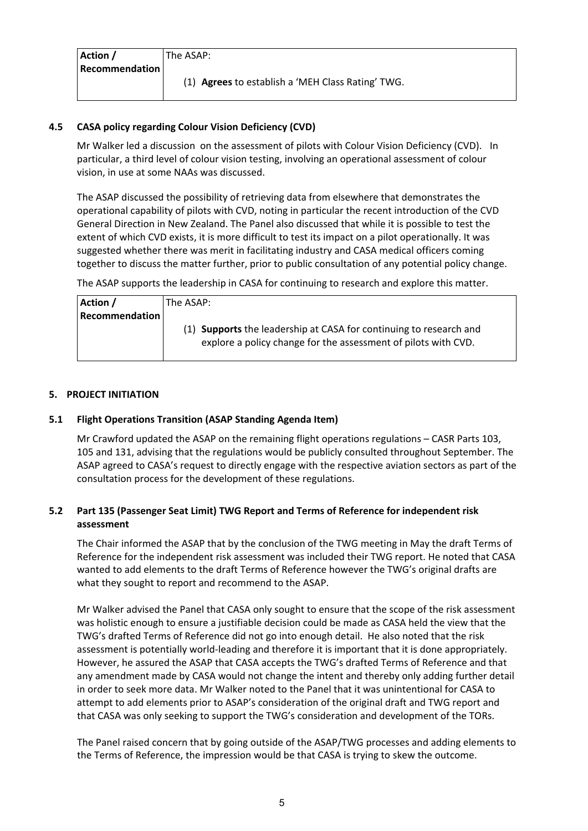| Action /       | The ASAP:                                         |
|----------------|---------------------------------------------------|
| Recommendation |                                                   |
|                | (1) Agrees to establish a 'MEH Class Rating' TWG. |

# **4.5 CASA policy regarding Colour Vision Deficiency (CVD)**

 particular, a third level of colour vision testing, involving an operational assessment of colour Mr Walker led a discussion on the assessment of pilots with Colour Vision Deficiency (CVD). In vision, in use at some NAAs was discussed.

The ASAP discussed the possibility of retrieving data from elsewhere that demonstrates the operational capability of pilots with CVD, noting in particular the recent introduction of the CVD General Direction in New Zealand. The Panel also discussed that while it is possible to test the extent of which CVD exists, it is more difficult to test its impact on a pilot operationally. It was suggested whether there was merit in facilitating industry and CASA medical officers coming together to discuss the matter further, prior to public consultation of any potential policy change.

The ASAP supports the leadership in CASA for continuing to research and explore this matter.

| Action /              | The ASAP:                                                                                                                            |
|-----------------------|--------------------------------------------------------------------------------------------------------------------------------------|
| <b>Recommendation</b> |                                                                                                                                      |
|                       | (1) Supports the leadership at CASA for continuing to research and<br>explore a policy change for the assessment of pilots with CVD. |

# **5. PROJECT INITIATION**

# **5.1 Flight Operations Transition (ASAP Standing Agenda Item)**

Mr Crawford updated the ASAP on the remaining flight operations regulations – CASR Parts 103, 105 and 131, advising that the regulations would be publicly consulted throughout September. The ASAP agreed to CASA's request to directly engage with the respective aviation sectors as part of the consultation process for the development of these regulations.

# **5.2 Part 135 (Passenger Seat Limit) TWG Report and Terms of Reference for independent risk assessment**

The Chair informed the ASAP that by the conclusion of the TWG meeting in May the draft Terms of Reference for the independent risk assessment was included their TWG report. He noted that CASA wanted to add elements to the draft Terms of Reference however the TWG's original drafts are what they sought to report and recommend to the ASAP.

 However, he assured the ASAP that CASA accepts the TWG's drafted Terms of Reference and that Mr Walker advised the Panel that CASA only sought to ensure that the scope of the risk assessment was holistic enough to ensure a justifiable decision could be made as CASA held the view that the TWG's drafted Terms of Reference did not go into enough detail. He also noted that the risk assessment is potentially world-leading and therefore it is important that it is done appropriately. any amendment made by CASA would not change the intent and thereby only adding further detail in order to seek more data. Mr Walker noted to the Panel that it was unintentional for CASA to attempt to add elements prior to ASAP's consideration of the original draft and TWG report and that CASA was only seeking to support the TWG's consideration and development of the TORs.

 the Terms of Reference, the impression would be that CASA is trying to skew the outcome. The Panel raised concern that by going outside of the ASAP/TWG processes and adding elements to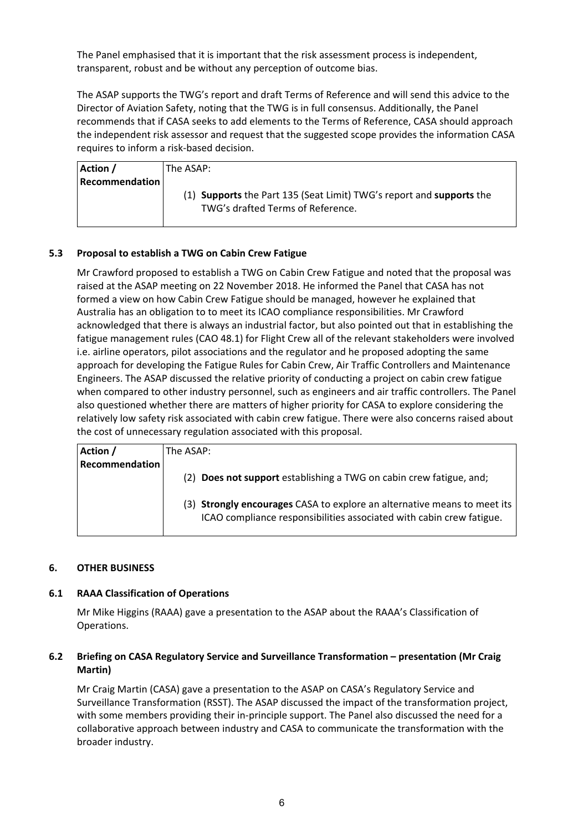The Panel emphasised that it is important that the risk assessment process is independent, transparent, robust and be without any perception of outcome bias.

 The ASAP supports the TWG's report and draft Terms of Reference and will send this advice to the Director of Aviation Safety, noting that the TWG is in full consensus. Additionally, the Panel recommends that if CASA seeks to add elements to the Terms of Reference, CASA should approach the independent risk assessor and request that the suggested scope provides the information CASA requires to inform a risk‐based decision.

| Action /       | The ASAP: I                                                          |
|----------------|----------------------------------------------------------------------|
| Recommendation |                                                                      |
|                | (1) Supports the Part 135 (Seat Limit) TWG's report and supports the |
|                | TWG's drafted Terms of Reference.                                    |
|                |                                                                      |

# **5.3 Proposal to establish a TWG on Cabin Crew Fatigue**

 fatigue management rules (CAO 48.1) for Flight Crew all of the relevant stakeholders were involved Mr Crawford proposed to establish a TWG on Cabin Crew Fatigue and noted that the proposal was raised at the ASAP meeting on 22 November 2018. He informed the Panel that CASA has not formed a view on how Cabin Crew Fatigue should be managed, however he explained that Australia has an obligation to to meet its ICAO compliance responsibilities. Mr Crawford acknowledged that there is always an industrial factor, but also pointed out that in establishing the i.e. airline operators, pilot associations and the regulator and he proposed adopting the same approach for developing the Fatigue Rules for Cabin Crew, Air Traffic Controllers and Maintenance Engineers. The ASAP discussed the relative priority of conducting a project on cabin crew fatigue when compared to other industry personnel, such as engineers and air traffic controllers. The Panel also questioned whether there are matters of higher priority for CASA to explore considering the relatively low safety risk associated with cabin crew fatigue. There were also concerns raised about the cost of unnecessary regulation associated with this proposal.

| Action /              | The ASAP:                                                                                                                                               |
|-----------------------|---------------------------------------------------------------------------------------------------------------------------------------------------------|
| <b>Recommendation</b> |                                                                                                                                                         |
|                       | (2) Does not support establishing a TWG on cabin crew fatigue, and;                                                                                     |
|                       | (3) <b>Strongly encourages</b> CASA to explore an alternative means to meet its<br>ICAO compliance responsibilities associated with cabin crew fatigue. |

#### **6. OTHER BUSINESS**

#### **6.1 RAAA Classification of Operations**

Mr Mike Higgins (RAAA) gave a presentation to the ASAP about the RAAA's Classification of Operations.

## **6.2 Briefing on CASA Regulatory Service and Surveillance Transformation – presentation (Mr Craig Martin)**

Mr Craig Martin (CASA) gave a presentation to the ASAP on CASA's Regulatory Service and Surveillance Transformation (RSST). The ASAP discussed the impact of the transformation project, with some members providing their in-principle support. The Panel also discussed the need for a collaborative approach between industry and CASA to communicate the transformation with the broader industry.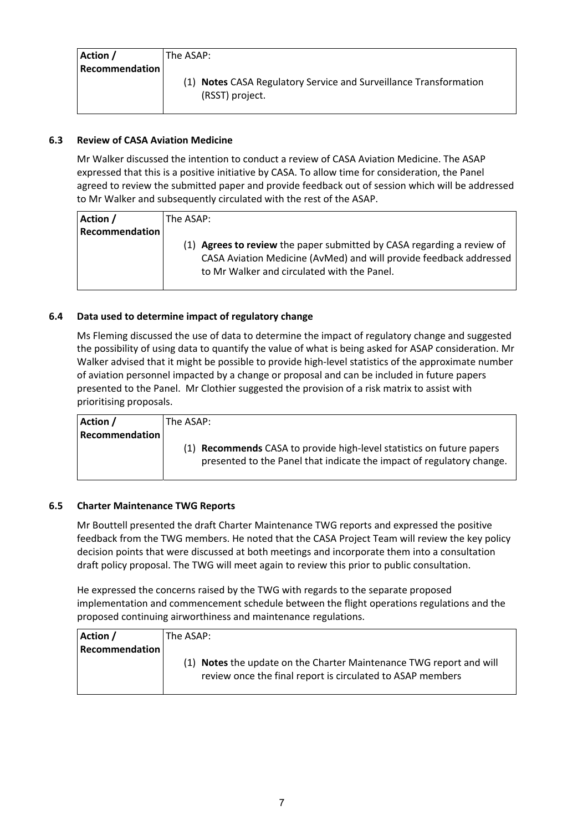| Action /              | The ASAP:                                                         |
|-----------------------|-------------------------------------------------------------------|
| <b>Recommendation</b> |                                                                   |
|                       | (1) Notes CASA Regulatory Service and Surveillance Transformation |
|                       | (RSST) project.                                                   |

# **6.3 Review of CASA Aviation Medicine**

 Mr Walker discussed the intention to conduct a review of CASA Aviation Medicine. The ASAP expressed that this is a positive initiative by CASA. To allow time for consideration, the Panel agreed to review the submitted paper and provide feedback out of session which will be addressed to Mr Walker and subsequently circulated with the rest of the ASAP.

| Action /              | The ASAP:                                                                                                                                                                                             |
|-----------------------|-------------------------------------------------------------------------------------------------------------------------------------------------------------------------------------------------------|
| <b>Recommendation</b> |                                                                                                                                                                                                       |
|                       | <b>Agrees to review</b> the paper submitted by CASA regarding a review of<br>(1)<br>CASA Aviation Medicine (AvMed) and will provide feedback addressed<br>to Mr Walker and circulated with the Panel. |

# **6.4 Data used to determine impact of regulatory change**

 of aviation personnel impacted by a change or proposal and can be included in future papers Ms Fleming discussed the use of data to determine the impact of regulatory change and suggested the possibility of using data to quantify the value of what is being asked for ASAP consideration. Mr Walker advised that it might be possible to provide high-level statistics of the approximate number presented to the Panel. Mr Clothier suggested the provision of a risk matrix to assist with prioritising proposals.

| Action /              | The ASAP:                                                             |
|-----------------------|-----------------------------------------------------------------------|
| <b>Recommendation</b> |                                                                       |
|                       | (1) Recommends CASA to provide high-level statistics on future papers |
|                       | presented to the Panel that indicate the impact of regulatory change. |
|                       |                                                                       |

# **6.5 Charter Maintenance TWG Reports**

 feedback from the TWG members. He noted that the CASA Project Team will review the key policy Mr Bouttell presented the draft Charter Maintenance TWG reports and expressed the positive decision points that were discussed at both meetings and incorporate them into a consultation draft policy proposal. The TWG will meet again to review this prior to public consultation.

 He expressed the concerns raised by the TWG with regards to the separate proposed proposed continuing airworthiness and maintenance regulations. implementation and commencement schedule between the flight operations regulations and the

| Action /              | The ASAP:                                                                                                                         |
|-----------------------|-----------------------------------------------------------------------------------------------------------------------------------|
| <b>Recommendation</b> |                                                                                                                                   |
|                       | (1) Notes the update on the Charter Maintenance TWG report and will<br>review once the final report is circulated to ASAP members |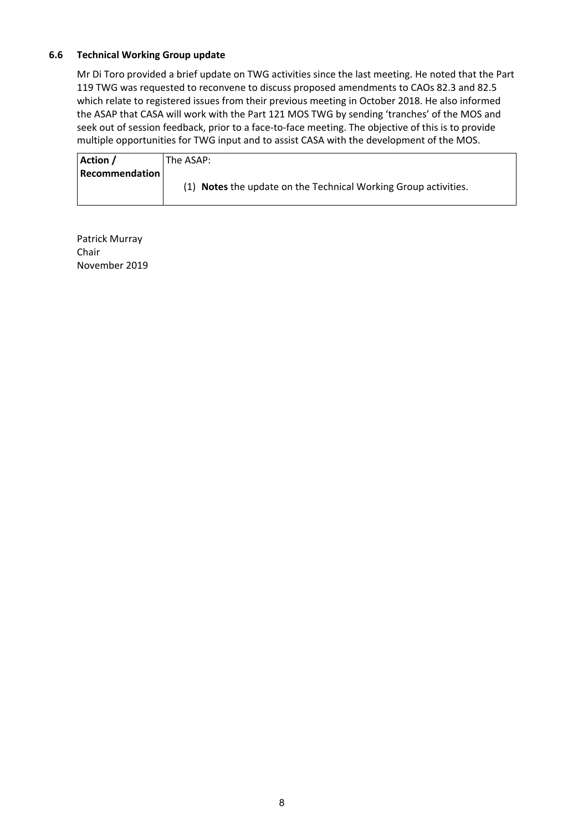## **6.6 Technical Working Group update**

Mr Di Toro provided a brief update on TWG activities since the last meeting. He noted that the Part 119 TWG was requested to reconvene to discuss proposed amendments to CAOs 82.3 and 82.5 which relate to registered issues from their previous meeting in October 2018. He also informed the ASAP that CASA will work with the Part 121 MOS TWG by sending 'tranches' of the MOS and seek out of session feedback, prior to a face-to-face meeting. The objective of this is to provide multiple opportunities for TWG input and to assist CASA with the development of the MOS.

| Action /              | The ASAP:                                                       |  |  |
|-----------------------|-----------------------------------------------------------------|--|--|
| <b>Recommendation</b> |                                                                 |  |  |
|                       | (1) Notes the update on the Technical Working Group activities. |  |  |
|                       |                                                                 |  |  |

Patrick Murray Chair November 2019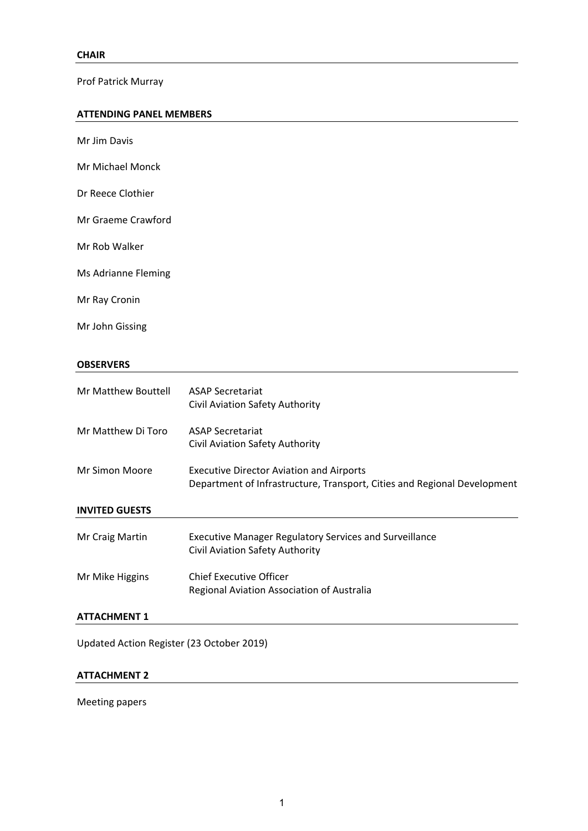Prof Patrick Murray

## **ATTENDING PANEL MEMBERS**

| Mr Jim Davis        |  |
|---------------------|--|
| Mr Michael Monck    |  |
| Dr Reece Clothier   |  |
| Mr Graeme Crawford  |  |
| Mr Rob Walker       |  |
| Ms Adrianne Fleming |  |
| Mr Ray Cronin       |  |
| Mr John Gissing     |  |

## **OBSERVERS**

| Mr Matthew Bouttell                               | <b>ASAP Secretariat</b><br>Civil Aviation Safety Authority                                                                  |  |  |  |
|---------------------------------------------------|-----------------------------------------------------------------------------------------------------------------------------|--|--|--|
| Mr Matthew Di Toro                                | <b>ASAP Secretariat</b><br>Civil Aviation Safety Authority                                                                  |  |  |  |
| Mr Simon Moore                                    | <b>Executive Director Aviation and Airports</b><br>Department of Infrastructure, Transport, Cities and Regional Development |  |  |  |
| <b>INVITED GUESTS</b>                             |                                                                                                                             |  |  |  |
| Mr Craig Martin                                   | <b>Executive Manager Regulatory Services and Surveillance</b><br>Civil Aviation Safety Authority                            |  |  |  |
| Mr Mike Higgins                                   | <b>Chief Executive Officer</b><br>Regional Aviation Association of Australia                                                |  |  |  |
| <b>ATTACHMENT 1</b>                               |                                                                                                                             |  |  |  |
| <b>LIndated Action Register (23 October 2019)</b> |                                                                                                                             |  |  |  |

Updated Action Register (23 October 2019)

# **ATTACHMENT 2**

Meeting papers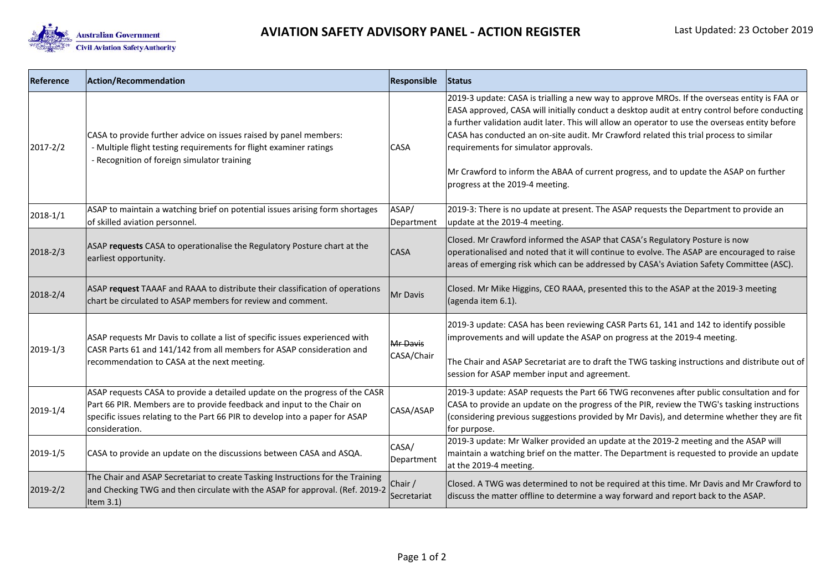

| Reference    | Action/Recommendation                                                                                                                                                                                                                                   | Responsible            | Status                                                                                                                                                                                                                                                                                                                                                                                                                                                                                                                                                          |
|--------------|---------------------------------------------------------------------------------------------------------------------------------------------------------------------------------------------------------------------------------------------------------|------------------------|-----------------------------------------------------------------------------------------------------------------------------------------------------------------------------------------------------------------------------------------------------------------------------------------------------------------------------------------------------------------------------------------------------------------------------------------------------------------------------------------------------------------------------------------------------------------|
| $2017 - 2/2$ | CASA to provide further advice on issues raised by panel members:<br>- Multiple flight testing requirements for flight examiner ratings<br>- Recognition of foreign simulator training                                                                  | <b>CASA</b>            | 2019-3 update: CASA is trialling a new way to approve MROs. If the overseas entity is FAA or<br>EASA approved, CASA will initially conduct a desktop audit at entry control before conducting<br>a further validation audit later. This will allow an operator to use the overseas entity before<br>CASA has conducted an on-site audit. Mr Crawford related this trial process to similar<br>requirements for simulator approvals.<br>Mr Crawford to inform the ABAA of current progress, and to update the ASAP on further<br>progress at the 2019-4 meeting. |
| $2018 - 1/1$ | ASAP to maintain a watching brief on potential issues arising form shortages<br>of skilled aviation personnel.                                                                                                                                          | ASAP/<br>Department    | 2019-3: There is no update at present. The ASAP requests the Department to provide an<br>update at the 2019-4 meeting.                                                                                                                                                                                                                                                                                                                                                                                                                                          |
| $2018 - 2/3$ | ASAP requests CASA to operationalise the Regulatory Posture chart at the<br>earliest opportunity.                                                                                                                                                       | <b>CASA</b>            | Closed. Mr Crawford informed the ASAP that CASA's Regulatory Posture is now<br>operationalised and noted that it will continue to evolve. The ASAP are encouraged to raise<br>areas of emerging risk which can be addressed by CASA's Aviation Safety Committee (ASC).                                                                                                                                                                                                                                                                                          |
| 2018-2/4     | ASAP request TAAAF and RAAA to distribute their classification of operations<br>chart be circulated to ASAP members for review and comment.                                                                                                             | Mr Davis               | Closed. Mr Mike Higgins, CEO RAAA, presented this to the ASAP at the 2019-3 meeting<br>(agenda item 6.1).                                                                                                                                                                                                                                                                                                                                                                                                                                                       |
| 2019-1/3     | ASAP requests Mr Davis to collate a list of specific issues experienced with<br>CASR Parts 61 and 141/142 from all members for ASAP consideration and<br>recommendation to CASA at the next meeting.                                                    | Mr Davis<br>CASA/Chair | 2019-3 update: CASA has been reviewing CASR Parts 61, 141 and 142 to identify possible<br>improvements and will update the ASAP on progress at the 2019-4 meeting.<br>The Chair and ASAP Secretariat are to draft the TWG tasking instructions and distribute out of<br>session for ASAP member input and agreement.                                                                                                                                                                                                                                            |
| 2019-1/4     | ASAP requests CASA to provide a detailed update on the progress of the CASR<br>Part 66 PIR. Members are to provide feedback and input to the Chair on<br>specific issues relating to the Part 66 PIR to develop into a paper for ASAP<br>consideration. | CASA/ASAP              | 2019-3 update: ASAP requests the Part 66 TWG reconvenes after public consultation and for<br>CASA to provide an update on the progress of the PIR, review the TWG's tasking instructions<br>(considering previous suggestions provided by Mr Davis), and determine whether they are fit<br>for purpose.                                                                                                                                                                                                                                                         |
| 2019-1/5     | CASA to provide an update on the discussions between CASA and ASQA.                                                                                                                                                                                     | CASA/<br>Department    | 2019-3 update: Mr Walker provided an update at the 2019-2 meeting and the ASAP will<br>maintain a watching brief on the matter. The Department is requested to provide an update<br>at the 2019-4 meeting.                                                                                                                                                                                                                                                                                                                                                      |
| 2019-2/2     | The Chair and ASAP Secretariat to create Tasking Instructions for the Training<br>and Checking TWG and then circulate with the ASAP for approval. (Ref. 2019-2<br>Item $3.1$ )                                                                          | Chair /<br>Secretariat | Closed. A TWG was determined to not be required at this time. Mr Davis and Mr Crawford to<br>discuss the matter offline to determine a way forward and report back to the ASAP.                                                                                                                                                                                                                                                                                                                                                                                 |